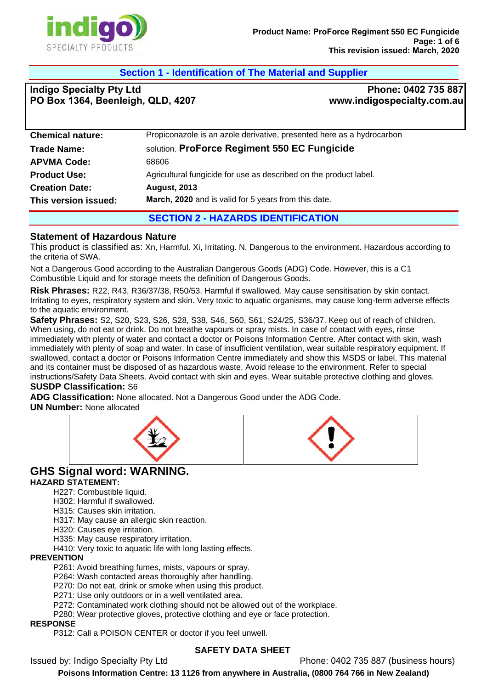

## **Section 1 - Identification of The Material and Supplier**

**Indigo Specialty Pty Ltd PO Box 1364, Beenleigh, QLD, 4207**

**Phone: 0402 735 887 www.indigospecialty.com.au**

| <b>Chemical nature:</b> | Propiconazole is an azole derivative, presented here as a hydrocarbon |  |
|-------------------------|-----------------------------------------------------------------------|--|
| <b>Trade Name:</b>      | solution. ProForce Regiment 550 EC Fungicide                          |  |
| <b>APVMA Code:</b>      | 68606                                                                 |  |
| <b>Product Use:</b>     | Agricultural fungicide for use as described on the product label.     |  |
| <b>Creation Date:</b>   | <b>August, 2013</b>                                                   |  |
| This version issued:    | March, 2020 and is valid for 5 years from this date.                  |  |
|                         |                                                                       |  |

# **SECTION 2 - HAZARDS IDENTIFICATION**

#### **Statement of Hazardous Nature**

This product is classified as: Xn, Harmful. Xi, Irritating. N, Dangerous to the environment. Hazardous according to the criteria of SWA.

Not a Dangerous Good according to the Australian Dangerous Goods (ADG) Code. However, this is a C1 Combustible Liquid and for storage meets the definition of Dangerous Goods.

**Risk Phrases:** R22, R43, R36/37/38, R50/53. Harmful if swallowed. May cause sensitisation by skin contact. Irritating to eyes, respiratory system and skin. Very toxic to aquatic organisms, may cause long-term adverse effects to the aquatic environment.

**Safety Phrases:** S2, S20, S23, S26, S28, S38, S46, S60, S61, S24/25, S36/37. Keep out of reach of children. When using, do not eat or drink. Do not breathe vapours or spray mists. In case of contact with eyes, rinse immediately with plenty of water and contact a doctor or Poisons Information Centre. After contact with skin, wash immediately with plenty of soap and water. In case of insufficient ventilation, wear suitable respiratory equipment. If swallowed, contact a doctor or Poisons Information Centre immediately and show this MSDS or label. This material and its container must be disposed of as hazardous waste. Avoid release to the environment. Refer to special instructions/Safety Data Sheets. Avoid contact with skin and eyes. Wear suitable protective clothing and gloves. **SUSDP Classification:** S6

**ADG Classification:** None allocated. Not a Dangerous Good under the ADG Code.

**UN Number:** None allocated



## **GHS Signal word: WARNING.**

#### **HAZARD STATEMENT:**

H227: Combustible liquid.

- H302: Harmful if swallowed.
- H315: Causes skin irritation.

H317: May cause an allergic skin reaction.

- H320: Causes eye irritation.
- H335: May cause respiratory irritation.
- H410: Very toxic to aquatic life with long lasting effects.

#### **PREVENTION**

P261: Avoid breathing fumes, mists, vapours or spray.

P264: Wash contacted areas thoroughly after handling.

P270: Do not eat, drink or smoke when using this product.

P271: Use only outdoors or in a well ventilated area.

P272: Contaminated work clothing should not be allowed out of the workplace.

P280: Wear protective gloves, protective clothing and eye or face protection.

#### **RESPONSE**

P312: Call a POISON CENTER or doctor if you feel unwell.

#### **SAFETY DATA SHEET**

Issued by: Indigo Specialty Pty Ltd Phone: 0402 735 887 (business hours)

**Poisons Information Centre: 13 1126 from anywhere in Australia, (0800 764 766 in New Zealand)**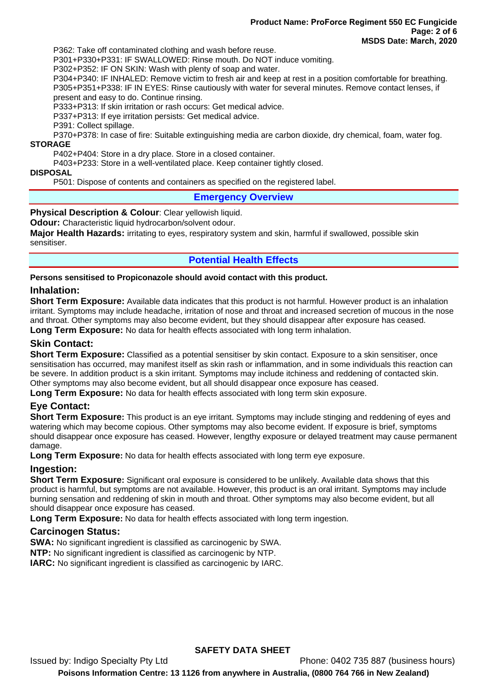P362: Take off contaminated clothing and wash before reuse.

P301+P330+P331: IF SWALLOWED: Rinse mouth. Do NOT induce vomiting.

P302+P352: IF ON SKIN: Wash with plenty of soap and water.

P304+P340: IF INHALED: Remove victim to fresh air and keep at rest in a position comfortable for breathing. P305+P351+P338: IF IN EYES: Rinse cautiously with water for several minutes. Remove contact lenses, if present and easy to do. Continue rinsing.

P333+P313: If skin irritation or rash occurs: Get medical advice.

P337+P313: If eye irritation persists: Get medical advice.

P391: Collect spillage.

P370+P378: In case of fire: Suitable extinguishing media are carbon dioxide, dry chemical, foam, water fog. **STORAGE** 

P402+P404: Store in a dry place. Store in a closed container.

P403+P233: Store in a well-ventilated place. Keep container tightly closed.

#### **DISPOSAL**

P501: Dispose of contents and containers as specified on the registered label.

#### **Emergency Overview**

#### **Physical Description & Colour: Clear yellowish liquid.**

**Odour:** Characteristic liquid hydrocarbon/solvent odour.

**Major Health Hazards:** irritating to eyes, respiratory system and skin, harmful if swallowed, possible skin sensitiser.

#### **Potential Health Effects**

**Persons sensitised to Propiconazole should avoid contact with this product.** 

#### **Inhalation:**

**Short Term Exposure:** Available data indicates that this product is not harmful. However product is an inhalation irritant. Symptoms may include headache, irritation of nose and throat and increased secretion of mucous in the nose and throat. Other symptoms may also become evident, but they should disappear after exposure has ceased. **Long Term Exposure:** No data for health effects associated with long term inhalation.

#### **Skin Contact:**

**Short Term Exposure:** Classified as a potential sensitiser by skin contact. Exposure to a skin sensitiser, once sensitisation has occurred, may manifest itself as skin rash or inflammation, and in some individuals this reaction can be severe. In addition product is a skin irritant. Symptoms may include itchiness and reddening of contacted skin. Other symptoms may also become evident, but all should disappear once exposure has ceased.

**Long Term Exposure:** No data for health effects associated with long term skin exposure.

#### **Eye Contact:**

**Short Term Exposure:** This product is an eye irritant. Symptoms may include stinging and reddening of eyes and watering which may become copious. Other symptoms may also become evident. If exposure is brief, symptoms should disappear once exposure has ceased. However, lengthy exposure or delayed treatment may cause permanent damage.

**Long Term Exposure:** No data for health effects associated with long term eye exposure.

#### **Ingestion:**

**Short Term Exposure:** Significant oral exposure is considered to be unlikely. Available data shows that this product is harmful, but symptoms are not available. However, this product is an oral irritant. Symptoms may include burning sensation and reddening of skin in mouth and throat. Other symptoms may also become evident, but all should disappear once exposure has ceased.

**Long Term Exposure:** No data for health effects associated with long term ingestion.

#### **Carcinogen Status:**

**SWA:** No significant ingredient is classified as carcinogenic by SWA.

**NTP:** No significant ingredient is classified as carcinogenic by NTP.

**IARC:** No significant ingredient is classified as carcinogenic by IARC.

#### **SAFETY DATA SHEET**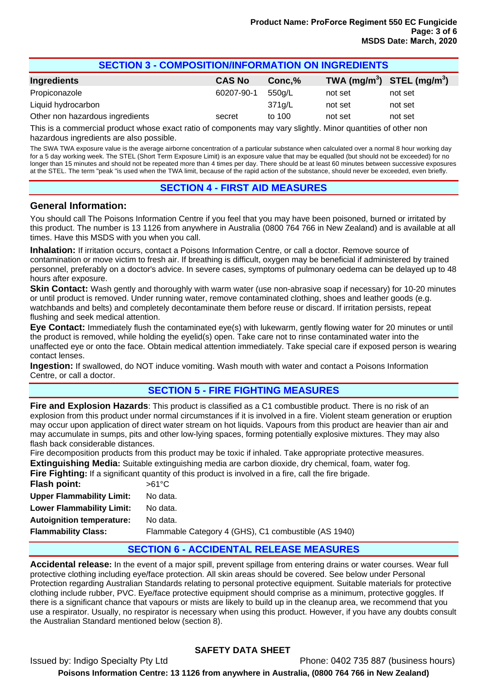| <b>SECTION 3 - COMPOSITION/INFORMATION ON INGREDIENTS</b>                                                       |               |        |         |                                                    |  |
|-----------------------------------------------------------------------------------------------------------------|---------------|--------|---------|----------------------------------------------------|--|
| <b>Ingredients</b>                                                                                              | <b>CAS No</b> | Conc,% |         | TWA (mg/m <sup>3</sup> ) STEL (mg/m <sup>3</sup> ) |  |
| Propiconazole                                                                                                   | 60207-90-1    | 550g/L | not set | not set                                            |  |
| Liquid hydrocarbon                                                                                              |               | 371g/L | not set | not set                                            |  |
| Other non hazardous ingredients                                                                                 | secret        | to 100 | not set | not set                                            |  |
| . This is a consecuted word on the second with a formal second second with the Library of Still Conservation of |               |        |         |                                                    |  |

This is a commercial product whose exact ratio of components may vary slightly. Minor quantities of other non hazardous ingredients are also possible.

The SWA TWA exposure value is the average airborne concentration of a particular substance when calculated over a normal 8 hour working day for a 5 day working week. The STEL (Short Term Exposure Limit) is an exposure value that may be equalled (but should not be exceeded) for no longer than 15 minutes and should not be repeated more than 4 times per day. There should be at least 60 minutes between successive exposures at the STEL. The term "peak "is used when the TWA limit, because of the rapid action of the substance, should never be exceeded, even briefly.

#### **SECTION 4 - FIRST AID MEASURES**

#### **General Information:**

You should call The Poisons Information Centre if you feel that you may have been poisoned, burned or irritated by this product. The number is 13 1126 from anywhere in Australia (0800 764 766 in New Zealand) and is available at all times. Have this MSDS with you when you call.

**Inhalation:** If irritation occurs, contact a Poisons Information Centre, or call a doctor. Remove source of contamination or move victim to fresh air. If breathing is difficult, oxygen may be beneficial if administered by trained personnel, preferably on a doctor's advice. In severe cases, symptoms of pulmonary oedema can be delayed up to 48 hours after exposure.

**Skin Contact:** Wash gently and thoroughly with warm water (use non-abrasive soap if necessary) for 10-20 minutes or until product is removed. Under running water, remove contaminated clothing, shoes and leather goods (e.g. watchbands and belts) and completely decontaminate them before reuse or discard. If irritation persists, repeat flushing and seek medical attention.

**Eye Contact:** Immediately flush the contaminated eye(s) with lukewarm, gently flowing water for 20 minutes or until the product is removed, while holding the eyelid(s) open. Take care not to rinse contaminated water into the unaffected eye or onto the face. Obtain medical attention immediately. Take special care if exposed person is wearing contact lenses.

**Ingestion:** If swallowed, do NOT induce vomiting. Wash mouth with water and contact a Poisons Information Centre, or call a doctor.

#### **SECTION 5 - FIRE FIGHTING MEASURES**

**Fire and Explosion Hazards**: This product is classified as a C1 combustible product. There is no risk of an explosion from this product under normal circumstances if it is involved in a fire. Violent steam generation or eruption may occur upon application of direct water stream on hot liquids. Vapours from this product are heavier than air and may accumulate in sumps, pits and other low-lying spaces, forming potentially explosive mixtures. They may also flash back considerable distances.

Fire decomposition products from this product may be toxic if inhaled. Take appropriate protective measures. **Extinguishing Media:** Suitable extinguishing media are carbon dioxide, dry chemical, foam, water fog.

**Fire Fighting:** If a significant quantity of this product is involved in a fire, call the fire brigade.

| Flash point:                     | $>61^{\circ}$ C                                      |
|----------------------------------|------------------------------------------------------|
| <b>Upper Flammability Limit:</b> | No data.                                             |
| <b>Lower Flammability Limit:</b> | No data.                                             |
| <b>Autoignition temperature:</b> | No data.                                             |
| <b>Flammability Class:</b>       | Flammable Category 4 (GHS), C1 combustible (AS 1940) |
|                                  |                                                      |

### **SECTION 6 - ACCIDENTAL RELEASE MEASURES**

**Accidental release:** In the event of a major spill, prevent spillage from entering drains or water courses. Wear full protective clothing including eye/face protection. All skin areas should be covered. See below under Personal Protection regarding Australian Standards relating to personal protective equipment. Suitable materials for protective clothing include rubber, PVC. Eye/face protective equipment should comprise as a minimum, protective goggles. If there is a significant chance that vapours or mists are likely to build up in the cleanup area, we recommend that you use a respirator. Usually, no respirator is necessary when using this product. However, if you have any doubts consult the Australian Standard mentioned below (section 8).

### **SAFETY DATA SHEET**

Issued by: Indigo Specialty Pty Ltd Phone: 0402 735 887 (business hours) **Poisons Information Centre: 13 1126 from anywhere in Australia, (0800 764 766 in New Zealand)**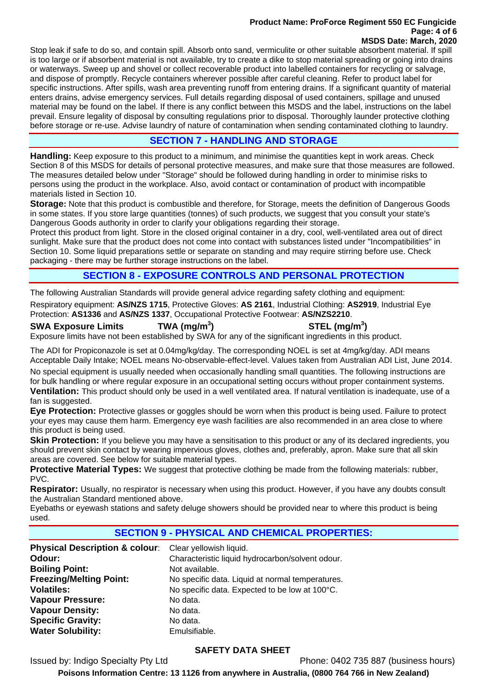#### **Product Name: ProForce Regiment 550 EC Fungicide Page: 4 of 6 MSDS Date: March, 2020**

Stop leak if safe to do so, and contain spill. Absorb onto sand, vermiculite or other suitable absorbent material. If spill is too large or if absorbent material is not available, try to create a dike to stop material spreading or going into drains or waterways. Sweep up and shovel or collect recoverable product into labelled containers for recycling or salvage, and dispose of promptly. Recycle containers wherever possible after careful cleaning. Refer to product label for specific instructions. After spills, wash area preventing runoff from entering drains. If a significant quantity of material enters drains, advise emergency services. Full details regarding disposal of used containers, spillage and unused material may be found on the label. If there is any conflict between this MSDS and the label, instructions on the label prevail. Ensure legality of disposal by consulting regulations prior to disposal. Thoroughly launder protective clothing before storage or re-use. Advise laundry of nature of contamination when sending contaminated clothing to laundry.

## **SECTION 7 - HANDLING AND STORAGE**

**Handling:** Keep exposure to this product to a minimum, and minimise the quantities kept in work areas. Check Section 8 of this MSDS for details of personal protective measures, and make sure that those measures are followed. The measures detailed below under "Storage" should be followed during handling in order to minimise risks to persons using the product in the workplace. Also, avoid contact or contamination of product with incompatible materials listed in Section 10.

**Storage:** Note that this product is combustible and therefore, for Storage, meets the definition of Dangerous Goods in some states. If you store large quantities (tonnes) of such products, we suggest that you consult your state's Dangerous Goods authority in order to clarify your obligations regarding their storage.

Protect this product from light. Store in the closed original container in a dry, cool, well-ventilated area out of direct sunlight. Make sure that the product does not come into contact with substances listed under "Incompatibilities" in Section 10. Some liquid preparations settle or separate on standing and may require stirring before use. Check packaging - there may be further storage instructions on the label.

### **SECTION 8 - EXPOSURE CONTROLS AND PERSONAL PROTECTION**

The following Australian Standards will provide general advice regarding safety clothing and equipment:

Respiratory equipment: **AS/NZS 1715**, Protective Gloves: **AS 2161**, Industrial Clothing: **AS2919**, Industrial Eye Protection: **AS1336** and **AS/NZS 1337**, Occupational Protective Footwear: **AS/NZS2210**.

#### **SWA Exposure Limits TWA (mg/m<sup>3</sup>**

**) STEL (mg/m<sup>3</sup> )** 

Exposure limits have not been established by SWA for any of the significant ingredients in this product.

The ADI for Propiconazole is set at 0.04mg/kg/day. The corresponding NOEL is set at 4mg/kg/day. ADI means Acceptable Daily Intake; NOEL means No-observable-effect-level. Values taken from Australian ADI List, June 2014.

No special equipment is usually needed when occasionally handling small quantities. The following instructions are for bulk handling or where regular exposure in an occupational setting occurs without proper containment systems.

**Ventilation:** This product should only be used in a well ventilated area. If natural ventilation is inadequate, use of a fan is suggested.

**Eye Protection:** Protective glasses or goggles should be worn when this product is being used. Failure to protect your eyes may cause them harm. Emergency eye wash facilities are also recommended in an area close to where this product is being used.

**Skin Protection:** If you believe you may have a sensitisation to this product or any of its declared ingredients, you should prevent skin contact by wearing impervious gloves, clothes and, preferably, apron. Make sure that all skin areas are covered. See below for suitable material types.

**Protective Material Types:** We suggest that protective clothing be made from the following materials: rubber, PVC.

**Respirator:** Usually, no respirator is necessary when using this product. However, if you have any doubts consult the Australian Standard mentioned above.

Eyebaths or eyewash stations and safety deluge showers should be provided near to where this product is being used.

## **SECTION 9 - PHYSICAL AND CHEMICAL PROPERTIES:**

**Physical Description & colour:** Clear yellowish liquid. **Odour: Characteristic liquid hydrocarbon/solvent odour.** Characteristic liquid hydrocarbon/solvent odour. **Boiling Point:** Not available. **Freezing/Melting Point:** No specific data. Liquid at normal temperatures. **Volatiles:** No specific data. Expected to be low at 100°C. Vapour Pressure: No data. **Vapour Density:** No data. **Specific Gravity:** No data. **Water Solubility:** Emulsifiable.

### **SAFETY DATA SHEET**

Issued by: Indigo Specialty Pty Ltd Phone: 0402 735 887 (business hours)

**Poisons Information Centre: 13 1126 from anywhere in Australia, (0800 764 766 in New Zealand)**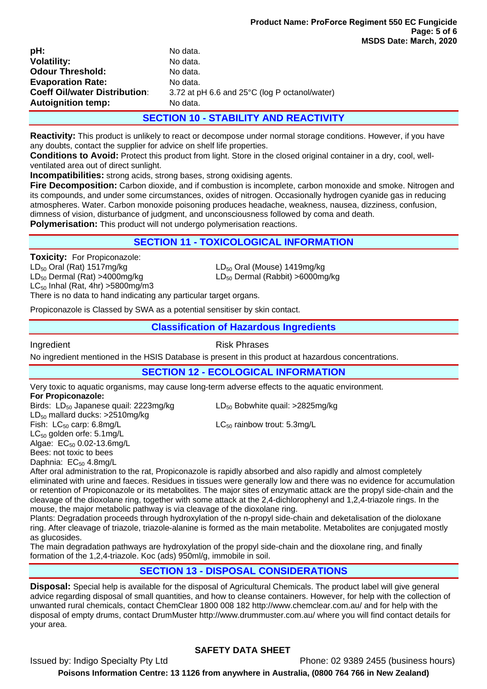| pH:                                  | No data.                                      |
|--------------------------------------|-----------------------------------------------|
| <b>Volatility:</b>                   | No data.                                      |
| <b>Odour Threshold:</b>              | No data.                                      |
| <b>Evaporation Rate:</b>             | No data.                                      |
| <b>Coeff Oil/water Distribution:</b> | 3.72 at pH 6.6 and 25°C (log P octanol/water) |
| <b>Autoignition temp:</b>            | No data.                                      |

#### **SECTION 10 - STABILITY AND REACTIVITY**

**Reactivity:** This product is unlikely to react or decompose under normal storage conditions. However, if you have any doubts, contact the supplier for advice on shelf life properties.

**Conditions to Avoid:** Protect this product from light. Store in the closed original container in a dry, cool, wellventilated area out of direct sunlight.

**Incompatibilities:** strong acids, strong bases, strong oxidising agents.

**Fire Decomposition:** Carbon dioxide, and if combustion is incomplete, carbon monoxide and smoke. Nitrogen and its compounds, and under some circumstances, oxides of nitrogen. Occasionally hydrogen cyanide gas in reducing atmospheres. Water. Carbon monoxide poisoning produces headache, weakness, nausea, dizziness, confusion, dimness of vision, disturbance of judgment, and unconsciousness followed by coma and death.

**Polymerisation:** This product will not undergo polymerisation reactions.

### **SECTION 11 - TOXICOLOGICAL INFORMATION**

**Toxicity: For Propiconazole:**  $LD_{50}$  Oral (Rat) 1517mg/kg<br>  $LD_{50}$  Dermal (Rat) >4000mg/kg<br>  $LD_{50}$  Dermal (Rabbit) >6000mg  $LC_{50}$  Inhal (Rat, 4hr) > 5800 mg/m3

 $LD_{50}$  Dermal (Rabbit) >6000mg/kg

There is no data to hand indicating any particular target organs.

Propiconazole is Classed by SWA as a potential sensitiser by skin contact.

#### **Classification of Hazardous Ingredients**

Ingredient **Risk Phrases** 

No ingredient mentioned in the HSIS Database is present in this product at hazardous concentrations.

#### **SECTION 12 - ECOLOGICAL INFORMATION**

Very toxic to aquatic organisms, may cause long-term adverse effects to the aquatic environment.

**For Propiconazole:** 

Birds:  $LD_{50}$  Japanese quail: 2223mg/kg  $LD_{50}$  Bobwhite quail: >2825mg/kg  $LD_{50}$  mallard ducks:  $>2510$ mg/kg Fish:  $LC_{50}$  carp: 6.8mg/L  $LC_{50}$  rainbow trout: 5.3mg/L LC<sub>50</sub> golden orfe: 5.1mg/L Algae:  $EC_{50}$  0.02-13.6mg/L

Bees: not toxic to bees Daphnia: EC<sub>50</sub> 4.8mg/L

After oral administration to the rat, Propiconazole is rapidly absorbed and also rapidly and almost completely eliminated with urine and faeces. Residues in tissues were generally low and there was no evidence for accumulation or retention of Propiconazole or its metabolites. The major sites of enzymatic attack are the propyl side-chain and the cleavage of the dioxolane ring, together with some attack at the 2,4-dichlorophenyl and 1,2,4-triazole rings. In the mouse, the major metabolic pathway is via cleavage of the dioxolane ring.

Plants: Degradation proceeds through hydroxylation of the n-propyl side-chain and deketalisation of the dioloxane ring. After cleavage of triazole, triazole-alanine is formed as the main metabolite. Metabolites are conjugated mostly as glucosides.

The main degradation pathways are hydroxylation of the propyl side-chain and the dioxolane ring, and finally formation of the 1,2,4-triazole. Koc (ads) 950ml/g, immobile in soil.

### **SECTION 13 - DISPOSAL CONSIDERATIONS**

**Disposal:** Special help is available for the disposal of Agricultural Chemicals. The product label will give general advice regarding disposal of small quantities, and how to cleanse containers. However, for help with the collection of unwanted rural chemicals, contact ChemClear 1800 008 182 http://www.chemclear.com.au/ and for help with the disposal of empty drums, contact DrumMuster http://www.drummuster.com.au/ where you will find contact details for your area.

### **SAFETY DATA SHEET**

Issued by: Indigo Specialty Pty Ltd Phone: 02 9389 2455 (business hours)

**Poisons Information Centre: 13 1126 from anywhere in Australia, (0800 764 766 in New Zealand)**